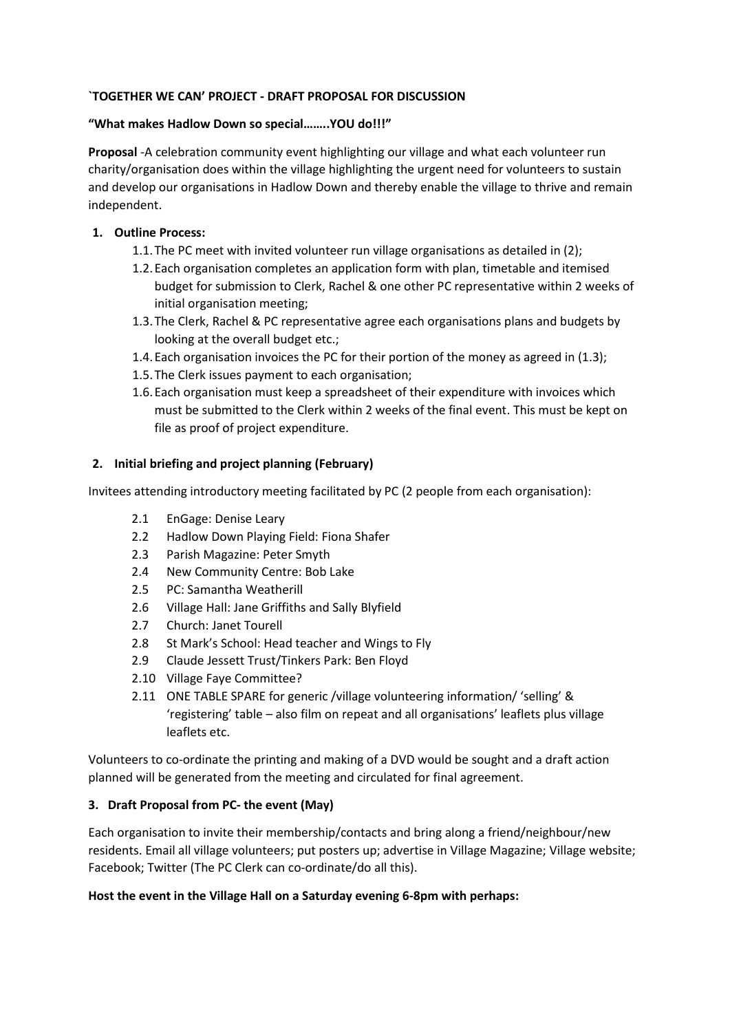## **`TOGETHER WE CAN' PROJECT - DRAFT PROPOSAL FOR DISCUSSION**

## **"What makes Hadlow Down so special……..YOU do!!!"**

**Proposal** -A celebration community event highlighting our village and what each volunteer run charity/organisation does within the village highlighting the urgent need for volunteers to sustain and develop our organisations in Hadlow Down and thereby enable the village to thrive and remain independent.

# **1. Outline Process:**

- 1.1.The PC meet with invited volunteer run village organisations as detailed in (2);
- 1.2.Each organisation completes an application form with plan, timetable and itemised budget for submission to Clerk, Rachel & one other PC representative within 2 weeks of initial organisation meeting;
- 1.3.The Clerk, Rachel & PC representative agree each organisations plans and budgets by looking at the overall budget etc.;
- 1.4.Each organisation invoices the PC for their portion of the money as agreed in (1.3);
- 1.5.The Clerk issues payment to each organisation;
- 1.6.Each organisation must keep a spreadsheet of their expenditure with invoices which must be submitted to the Clerk within 2 weeks of the final event. This must be kept on file as proof of project expenditure.

## **2. Initial briefing and project planning (February)**

Invitees attending introductory meeting facilitated by PC (2 people from each organisation):

- 2.1 EnGage: Denise Leary
- 2.2 Hadlow Down Playing Field: Fiona Shafer
- 2.3 Parish Magazine: Peter Smyth
- 2.4 New Community Centre: Bob Lake
- 2.5 PC: Samantha Weatherill
- 2.6 Village Hall: Jane Griffiths and Sally Blyfield
- 2.7 Church: Janet Tourell
- 2.8 St Mark's School: Head teacher and Wings to Fly
- 2.9 Claude Jessett Trust/Tinkers Park: Ben Floyd
- 2.10 Village Faye Committee?
- 2.11 ONE TABLE SPARE for generic /village volunteering information/ 'selling' & 'registering' table – also film on repeat and all organisations' leaflets plus village leaflets etc.

Volunteers to co-ordinate the printing and making of a DVD would be sought and a draft action planned will be generated from the meeting and circulated for final agreement.

## **3. Draft Proposal from PC- the event (May)**

Each organisation to invite their membership/contacts and bring along a friend/neighbour/new residents. Email all village volunteers; put posters up; advertise in Village Magazine; Village website; Facebook; Twitter (The PC Clerk can co-ordinate/do all this).

## **Host the event in the Village Hall on a Saturday evening 6-8pm with perhaps:**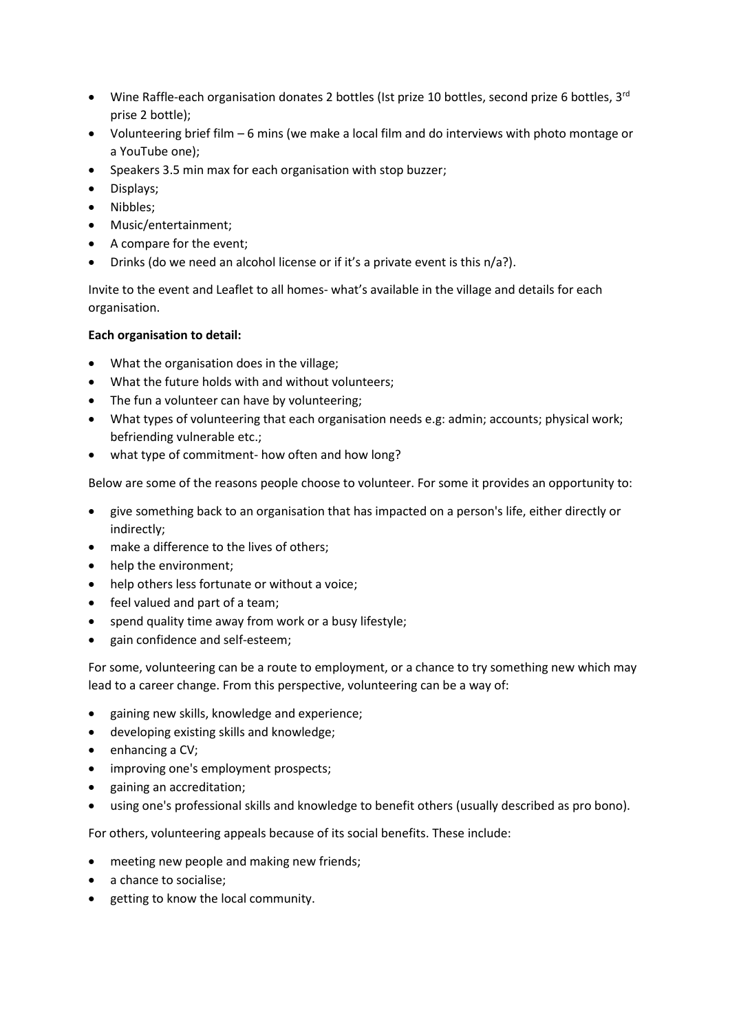- Wine Raffle-each organisation donates 2 bottles (Ist prize 10 bottles, second prize 6 bottles,  $3^{rd}$ prise 2 bottle);
- Volunteering brief film 6 mins (we make a local film and do interviews with photo montage or a YouTube one);
- Speakers 3.5 min max for each organisation with stop buzzer;
- Displays;
- Nibbles;
- Music/entertainment;
- A compare for the event;
- Drinks (do we need an alcohol license or if it's a private event is this n/a?).

Invite to the event and Leaflet to all homes- what's available in the village and details for each organisation.

#### **Each organisation to detail:**

- What the organisation does in the village;
- What the future holds with and without volunteers;
- The fun a volunteer can have by volunteering;
- What types of volunteering that each organisation needs e.g: admin; accounts; physical work; befriending vulnerable etc.;
- what type of commitment- how often and how long?

Below are some of the reasons people choose to volunteer. For some it provides an opportunity to:

- give something back to an organisation that has impacted on a person's life, either directly or indirectly;
- make a difference to the lives of others;
- help the environment;
- help others less fortunate or without a voice;
- feel valued and part of a team;
- spend quality time away from work or a busy lifestyle;
- gain confidence and self-esteem;

For some, volunteering can be a route to employment, or a chance to try something new which may lead to a career change. From this perspective, volunteering can be a way of:

- gaining new skills, knowledge and experience;
- developing existing skills and knowledge;
- enhancing a CV;
- improving one's employment prospects;
- gaining an accreditation;
- using one's professional skills and knowledge to benefit others (usually described as pro bono).

For others, volunteering appeals because of its social benefits. These include:

- meeting new people and making new friends;
- a chance to socialise;
- getting to know the local community.